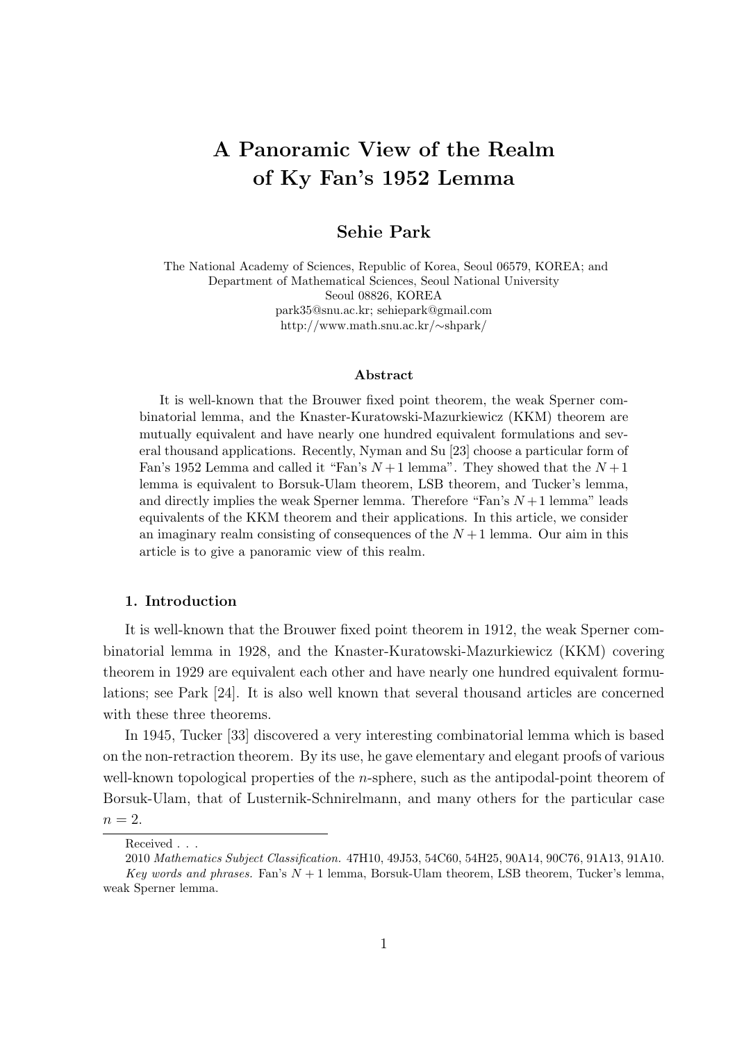# **A Panoramic View of the Realm of Ky Fan's 1952 Lemma**

## **Sehie Park**

The National Academy of Sciences, Republic of Korea, Seoul 06579, KOREA; and Department of Mathematical Sciences, Seoul National University Seoul 08826, KOREA park35@snu.ac.kr; sehiepark@gmail.com http://www.math.snu.ac.kr/*∼*shpark/

#### **Abstract**

It is well-known that the Brouwer fixed point theorem, the weak Sperner combinatorial lemma, and the Knaster-Kuratowski-Mazurkiewicz (KKM) theorem are mutually equivalent and have nearly one hundred equivalent formulations and several thousand applications. Recently, Nyman and Su [23] choose a particular form of Fan's 1952 Lemma and called it "Fan's  $N+1$  lemma". They showed that the  $N+1$ lemma is equivalent to Borsuk-Ulam theorem, LSB theorem, and Tucker's lemma, and directly implies the weak Sperner lemma. Therefore "Fan's  $N+1$  lemma" leads equivalents of the KKM theorem and their applications. In this article, we consider an imaginary realm consisting of consequences of the  $N+1$  lemma. Our aim in this article is to give a panoramic view of this realm.

#### **1. Introduction**

It is well-known that the Brouwer fixed point theorem in 1912, the weak Sperner combinatorial lemma in 1928, and the Knaster-Kuratowski-Mazurkiewicz (KKM) covering theorem in 1929 are equivalent each other and have nearly one hundred equivalent formulations; see Park [24]. It is also well known that several thousand articles are concerned with these three theorems.

In 1945, Tucker [33] discovered a very interesting combinatorial lemma which is based on the non-retraction theorem. By its use, he gave elementary and elegant proofs of various well-known topological properties of the *n*-sphere, such as the antipodal-point theorem of Borsuk-Ulam, that of Lusternik-Schnirelmann, and many others for the particular case  $n=2$ .

Received . . .

<sup>2010</sup> *Mathematics Subject Classification.* 47H10, 49J53, 54C60, 54H25, 90A14, 90C76, 91A13, 91A10. *Key words and phrases.* Fan's  $N+1$  lemma, Borsuk-Ulam theorem, LSB theorem, Tucker's lemma, weak Sperner lemma.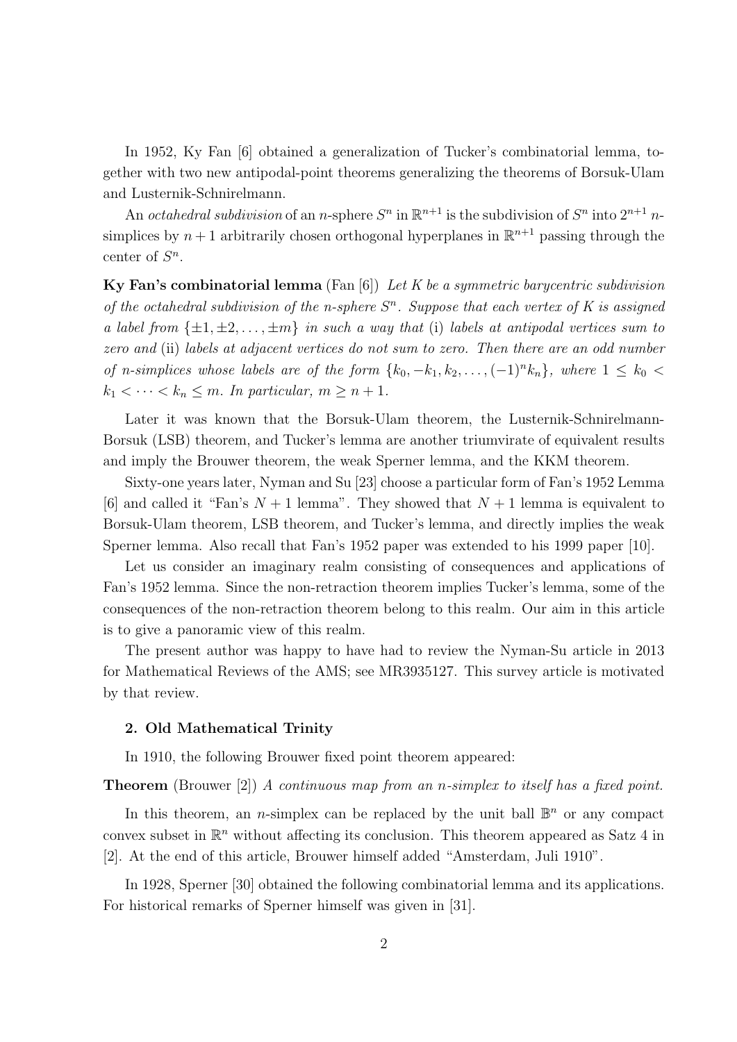In 1952, Ky Fan [6] obtained a generalization of Tucker's combinatorial lemma, together with two new antipodal-point theorems generalizing the theorems of Borsuk-Ulam and Lusternik-Schnirelmann.

An *octahedral subdivision* of an *n*-sphere  $S<sup>n</sup>$  in  $\mathbb{R}^{n+1}$  is the subdivision of  $S<sup>n</sup>$  into  $2^{n+1}$  *n*simplices by  $n+1$  arbitrarily chosen orthogonal hyperplanes in  $\mathbb{R}^{n+1}$  passing through the center of *S n* .

**Ky Fan's combinatorial lemma** (Fan [6]) *Let K be a symmetric barycentric subdivision of the octahedral subdivision of the n-sphere S n . Suppose that each vertex of K is assigned a label from*  $\{\pm 1, \pm 2, \ldots, \pm m\}$  *in such a way that* (i) *labels at antipodal vertices sum to zero and* (ii) *labels at adjacent vertices do not sum to zero. Then there are an odd number of n-simplices whose labels are of the form*  $\{k_0, -k_1, k_2, \ldots, (-1)^n k_n\}$ , where  $1 \leq k_0$  $k_1 < \cdots < k_n \leq m$ . In particular,  $m \geq n+1$ .

Later it was known that the Borsuk-Ulam theorem, the Lusternik-Schnirelmann-Borsuk (LSB) theorem, and Tucker's lemma are another triumvirate of equivalent results and imply the Brouwer theorem, the weak Sperner lemma, and the KKM theorem.

Sixty-one years later, Nyman and Su [23] choose a particular form of Fan's 1952 Lemma [6] and called it "Fan's  $N+1$  lemma". They showed that  $N+1$  lemma is equivalent to Borsuk-Ulam theorem, LSB theorem, and Tucker's lemma, and directly implies the weak Sperner lemma. Also recall that Fan's 1952 paper was extended to his 1999 paper [10].

Let us consider an imaginary realm consisting of consequences and applications of Fan's 1952 lemma. Since the non-retraction theorem implies Tucker's lemma, some of the consequences of the non-retraction theorem belong to this realm. Our aim in this article is to give a panoramic view of this realm.

The present author was happy to have had to review the Nyman-Su article in 2013 for Mathematical Reviews of the AMS; see MR3935127. This survey article is motivated by that review.

#### **2. Old Mathematical Trinity**

In 1910, the following Brouwer fixed point theorem appeared:

**Theorem** (Brouwer [2]) *A continuous map from an n-simplex to itself has a fixed point.*

In this theorem, an *n*-simplex can be replaced by the unit ball  $\mathbb{B}^n$  or any compact convex subset in  $\mathbb{R}^n$  without affecting its conclusion. This theorem appeared as Satz 4 in [2]. At the end of this article, Brouwer himself added "Amsterdam, Juli 1910".

In 1928, Sperner [30] obtained the following combinatorial lemma and its applications. For historical remarks of Sperner himself was given in [31].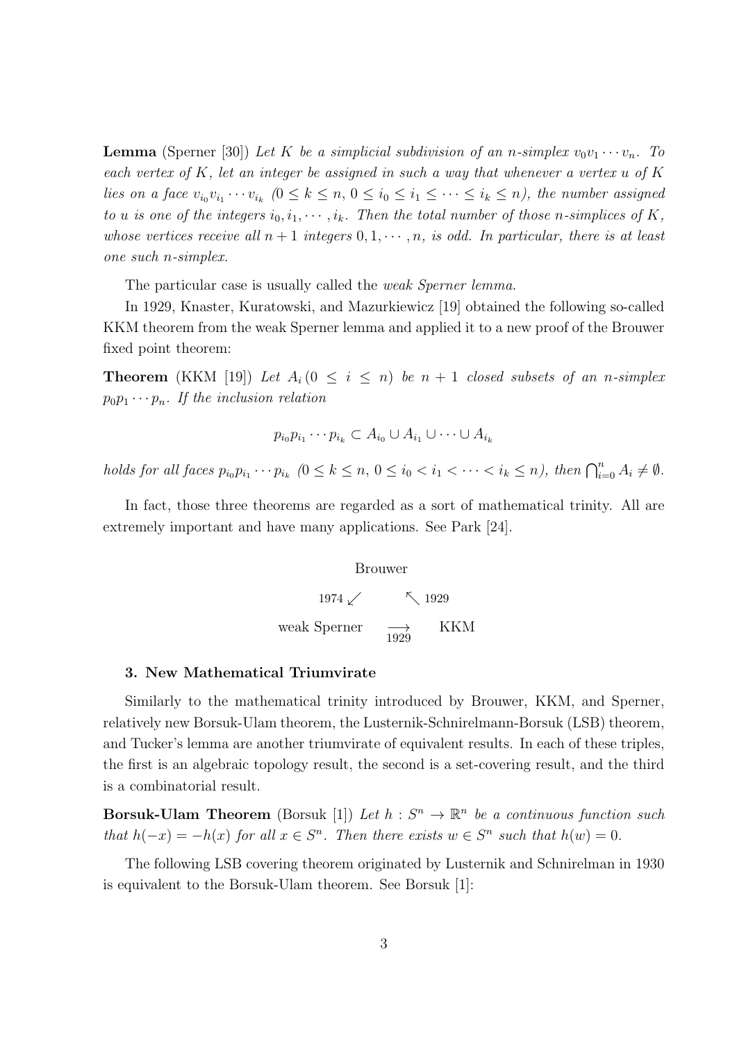**Lemma** (Sperner [30]) Let K be a simplicial subdivision of an *n*-simplex  $v_0v_1 \cdots v_n$ . To *each vertex of K, let an integer be assigned in such a way that whenever a vertex u of K* lies on a face  $v_{i_0}v_{i_1}\cdots v_{i_k}$   $(0 \leq k \leq n, 0 \leq i_0 \leq i_1 \leq \cdots \leq i_k \leq n)$ , the number assigned *to u is one of the integers*  $i_0, i_1, \cdots, i_k$ *. Then the total number of those n-simplices of*  $K$ *, whose vertices receive all*  $n + 1$  *integers*  $0, 1, \dots, n$ *, is odd. In particular, there is at least one such n-simplex.*

The particular case is usually called the *weak Sperner lemma.*

In 1929, Knaster, Kuratowski, and Mazurkiewicz [19] obtained the following so-called KKM theorem from the weak Sperner lemma and applied it to a new proof of the Brouwer fixed point theorem:

**Theorem** (KKM [19]) Let  $A_i$  ( $0 \leq i \leq n$ ) be  $n + 1$  closed subsets of an *n*-simplex  $p_0 p_1 \cdots p_n$ *. If the inclusion relation* 

$$
p_{i_0}p_{i_1}\cdots p_{i_k}\subset A_{i_0}\cup A_{i_1}\cup\cdots\cup A_{i_k}
$$

holds for all faces  $p_{i_0}p_{i_1}\cdots p_{i_k}$   $(0 \le k \le n, 0 \le i_0 < i_1 < \cdots < i_k \le n)$ , then  $\bigcap_{i=0}^n A_i \ne \emptyset$ .

In fact, those three theorems are regarded as a sort of mathematical trinity. All are extremely important and have many applications. See Park [24].

Brouwer

1974 <del>∕</del> 51929 weak Sperner  $\overrightarrow{1929}$ KKM

#### **3. New Mathematical Triumvirate**

Similarly to the mathematical trinity introduced by Brouwer, KKM, and Sperner, relatively new Borsuk-Ulam theorem, the Lusternik-Schnirelmann-Borsuk (LSB) theorem, and Tucker's lemma are another triumvirate of equivalent results. In each of these triples, the first is an algebraic topology result, the second is a set-covering result, and the third is a combinatorial result.

**Borsuk-Ulam Theorem** (Borsuk [1]) *Let*  $h : S^n \to \mathbb{R}^n$  *be a continuous function such* that  $h(-x) = -h(x)$  for all  $x \in S^n$ . Then there exists  $w \in S^n$  such that  $h(w) = 0$ .

The following LSB covering theorem originated by Lusternik and Schnirelman in 1930 is equivalent to the Borsuk-Ulam theorem. See Borsuk [1]: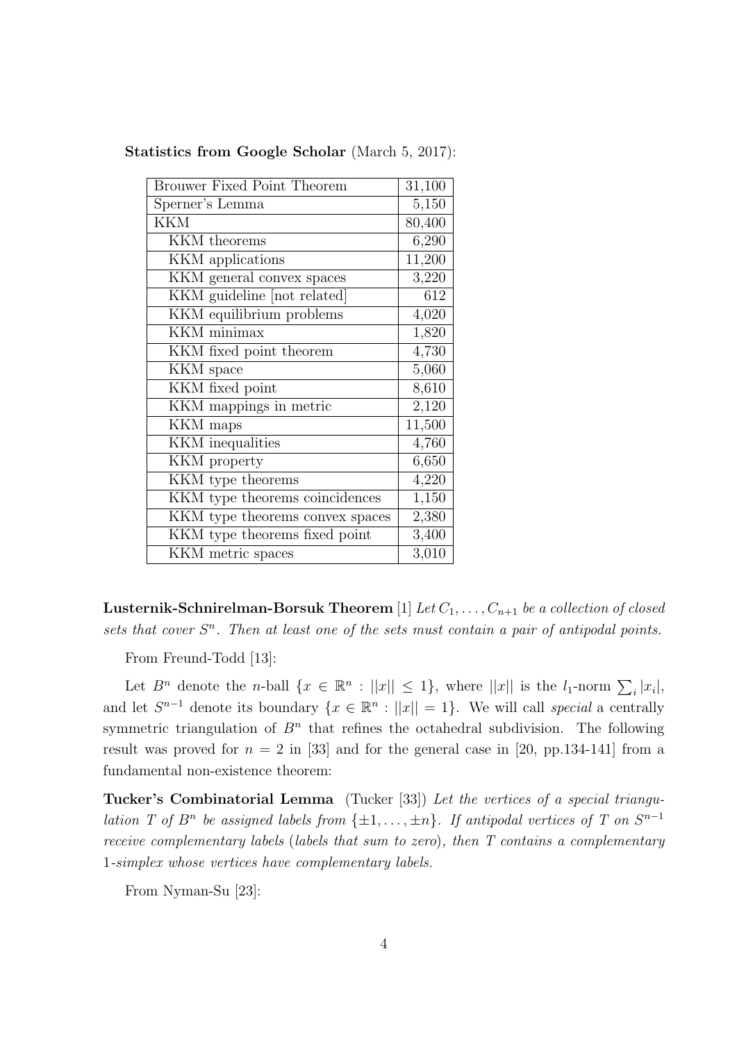| Brouwer Fixed Point Theorem     | 31,100 |
|---------------------------------|--------|
| Sperner's Lemma                 | 5,150  |
| <b>KKM</b>                      | 80,400 |
| KKM theorems                    | 6,290  |
| KKM applications                | 11,200 |
| KKM general convex spaces       | 3,220  |
| KKM guideline [not related]     | 612    |
| KKM equilibrium problems        | 4,020  |
| $\overline{\text{KKM}}$ minimax | 1,820  |
| KKM fixed point theorem         | 4,730  |
| KKM space                       | 5,060  |
| KKM fixed point                 | 8,610  |
| KKM mappings in metric          | 2,120  |
| KKM maps                        | 11,500 |
| KKM inequalities                | 4,760  |
| KKM property                    | 6,650  |
| KKM type theorems               | 4,220  |
| KKM type theorems coincidences  | 1,150  |
| KKM type theorems convex spaces | 2,380  |
| KKM type theorems fixed point   | 3,400  |
| KKM metric spaces               | 3,010  |

**Statistics from Google Scholar** (March 5, 2017):

**Lusternik-Schnirelman-Borsuk Theorem** [1] *Let*  $C_1, \ldots, C_{n+1}$  *be a collection of closed* sets that cover  $S<sup>n</sup>$ . Then at least one of the sets must contain a pair of antipodal points.

From Freund-Todd [13]:

Let  $B^n$  denote the *n*-ball  $\{x \in \mathbb{R}^n : ||x|| \le 1\}$ , where  $||x||$  is the  $l_1$ -norm  $\sum_i |x_i|$ , and let  $S^{n-1}$  denote its boundary  $\{x \in \mathbb{R}^n : ||x|| = 1\}$ . We will call *special* a centrally symmetric triangulation of  $B<sup>n</sup>$  that refines the octahedral subdivision. The following result was proved for  $n = 2$  in [33] and for the general case in [20, pp. 134-141] from a fundamental non-existence theorem:

**Tucker's Combinatorial Lemma** (Tucker [33]) *Let the vertices of a special triangulation T* of  $B^n$  be assigned labels from  $\{\pm 1, \ldots, \pm n\}$ . If antipodal vertices of T on  $S^{n-1}$ *receive complementary labels* (*labels that sum to zero*)*, then T contains a complementary* 1*-simplex whose vertices have complementary labels.*

From Nyman-Su [23]: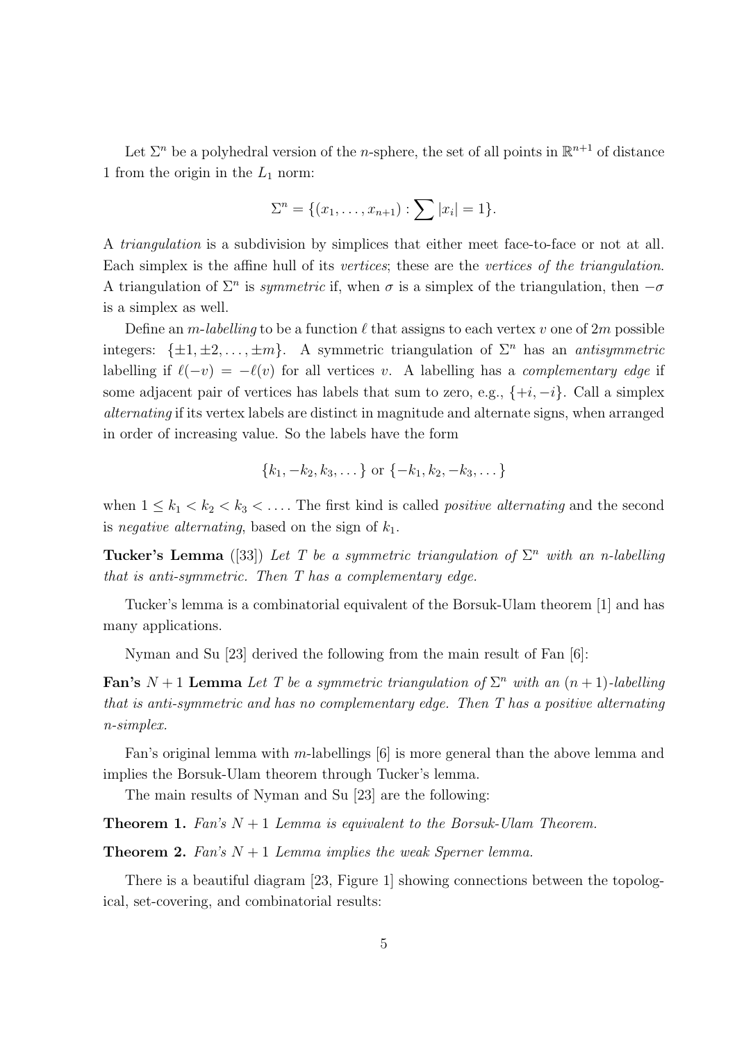Let  $\Sigma^n$  be a polyhedral version of the *n*-sphere, the set of all points in  $\mathbb{R}^{n+1}$  of distance 1 from the origin in the  $L_1$  norm:

$$
\Sigma^{n} = \{(x_1, \ldots, x_{n+1}) : \sum |x_i| = 1\}.
$$

A *triangulation* is a subdivision by simplices that either meet face-to-face or not at all. Each simplex is the affine hull of its *vertices*; these are the *vertices of the triangulation*. A triangulation of  $\Sigma^n$  is *symmetric* if, when  $\sigma$  is a simplex of the triangulation, then  $-\sigma$ is a simplex as well.

Define an *m*-*labelling* to be a function  $\ell$  that assigns to each vertex *v* one of  $2m$  possible integers:  $\{\pm 1, \pm 2, \ldots, \pm m\}$ . A symmetric triangulation of  $\Sigma^n$  has an *antisymmetric* labelling if  $\ell(-v) = -\ell(v)$  for all vertices *v*. A labelling has a *complementary edge* if some adjacent pair of vertices has labels that sum to zero, e.g.,  $\{+i, -i\}$ . Call a simplex *alternating* if its vertex labels are distinct in magnitude and alternate signs, when arranged in order of increasing value. So the labels have the form

$$
\{k_1, -k_2, k_3, \dots\} \text{ or } \{-k_1, k_2, -k_3, \dots\}
$$

when  $1 \leq k_1 < k_2 < k_3 < \ldots$ . The first kind is called *positive alternating* and the second is *negative alternating*, based on the sign of *k*1.

**Tucker's Lemma** ([33]) Let T be a symmetric triangulation of  $\Sigma^n$  with an n-labelling *that is anti-symmetric. Then T has a complementary edge.*

Tucker's lemma is a combinatorial equivalent of the Borsuk-Ulam theorem [1] and has many applications.

Nyman and Su [23] derived the following from the main result of Fan [6]:

**Fan's**  $N + 1$  **Lemma** Let T be a symmetric triangulation of  $\Sigma^n$  with an  $(n + 1)$ -labelling *that is anti-symmetric and has no complementary edge. Then T has a positive alternating n-simplex.*

Fan's original lemma with *m*-labellings [6] is more general than the above lemma and implies the Borsuk-Ulam theorem through Tucker's lemma.

The main results of Nyman and Su [23] are the following:

**Theorem 1.** *Fan's N* + 1 *Lemma is equivalent to the Borsuk-Ulam Theorem.*

**Theorem 2.** *Fan's N* + 1 *Lemma implies the weak Sperner lemma.*

There is a beautiful diagram [23, Figure 1] showing connections between the topological, set-covering, and combinatorial results: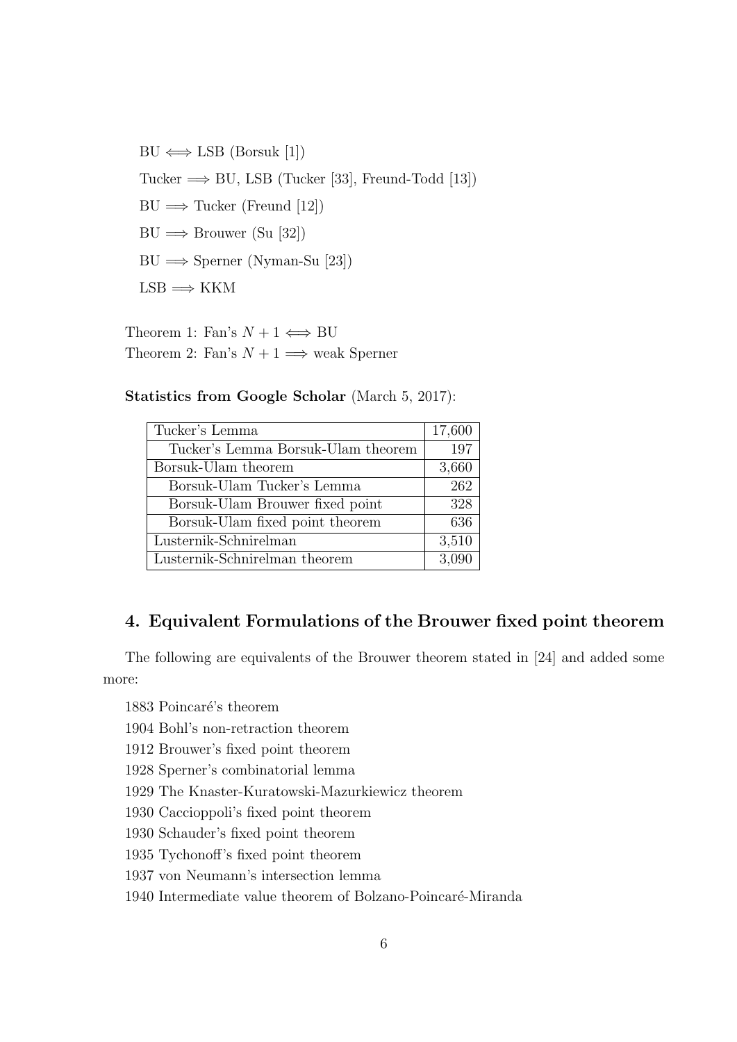$BU \iff LSB$  (Borsuk [1]) Tucker =*⇒* BU, LSB (Tucker [33], Freund-Todd [13])  $BU \implies$  Tucker (Freund [12]) BU =*⇒* Brouwer (Su [32]) BU =*⇒* Sperner (Nyman-Su [23])  $LSB \Longrightarrow KKM$ 

Theorem 1: Fan's  $N + 1 \iff BV$ Theorem 2: Fan's  $N + 1 \implies$  weak Sperner

**Statistics from Google Scholar** (March 5, 2017):

| 17,600 |
|--------|
| 197    |
| 3,660  |
| 262    |
| 328    |
| 636    |
| 3,510  |
| 3,090  |
|        |

## **4. Equivalent Formulations of the Brouwer fixed point theorem**

The following are equivalents of the Brouwer theorem stated in [24] and added some more:

1883 Poincaré's theorem

1904 Bohl's non-retraction theorem

1912 Brouwer's fixed point theorem

1928 Sperner's combinatorial lemma

1929 The Knaster-Kuratowski-Mazurkiewicz theorem

1930 Caccioppoli's fixed point theorem

1930 Schauder's fixed point theorem

1935 Tychonoff's fixed point theorem

1937 von Neumann's intersection lemma

1940 Intermediate value theorem of Bolzano-Poincaré-Miranda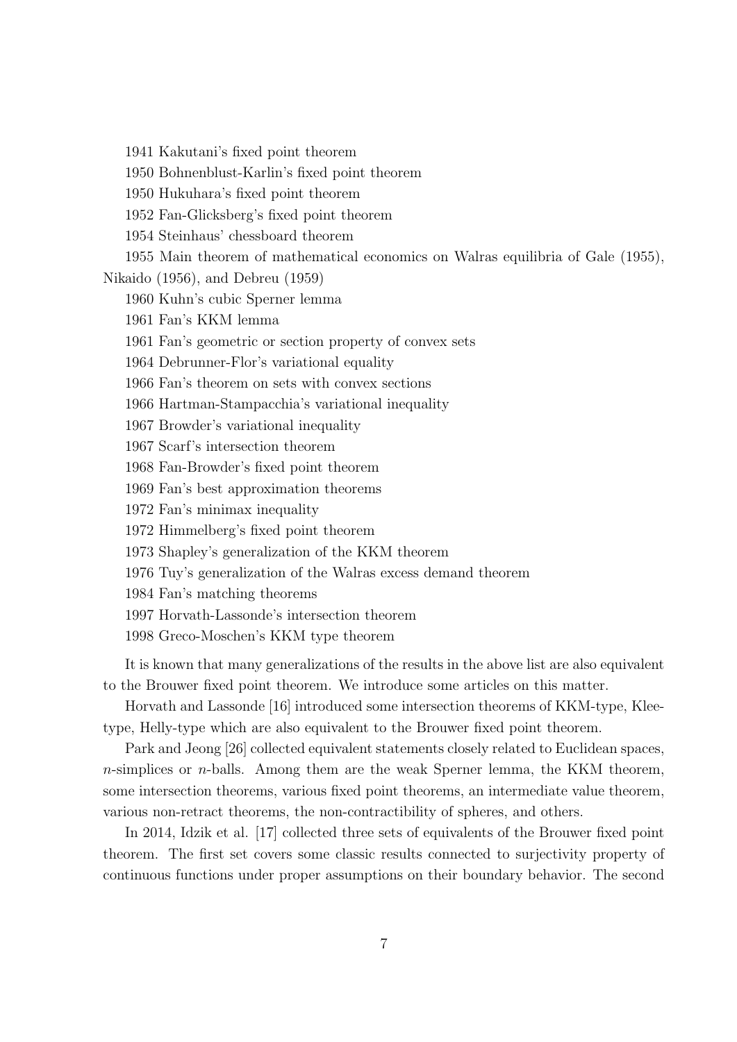1941 Kakutani's fixed point theorem

1950 Bohnenblust-Karlin's fixed point theorem

1950 Hukuhara's fixed point theorem

1952 Fan-Glicksberg's fixed point theorem

1954 Steinhaus' chessboard theorem

1955 Main theorem of mathematical economics on Walras equilibria of Gale (1955),

Nikaido (1956), and Debreu (1959)

1960 Kuhn's cubic Sperner lemma

1961 Fan's KKM lemma

1961 Fan's geometric or section property of convex sets

1964 Debrunner-Flor's variational equality

1966 Fan's theorem on sets with convex sections

1966 Hartman-Stampacchia's variational inequality

1967 Browder's variational inequality

1967 Scarf's intersection theorem

1968 Fan-Browder's fixed point theorem

1969 Fan's best approximation theorems

1972 Fan's minimax inequality

1972 Himmelberg's fixed point theorem

1973 Shapley's generalization of the KKM theorem

1976 Tuy's generalization of the Walras excess demand theorem

1984 Fan's matching theorems

1997 Horvath-Lassonde's intersection theorem

1998 Greco-Moschen's KKM type theorem

It is known that many generalizations of the results in the above list are also equivalent to the Brouwer fixed point theorem. We introduce some articles on this matter.

Horvath and Lassonde [16] introduced some intersection theorems of KKM-type, Kleetype, Helly-type which are also equivalent to the Brouwer fixed point theorem.

Park and Jeong [26] collected equivalent statements closely related to Euclidean spaces, *n*-simplices or *n*-balls. Among them are the weak Sperner lemma, the KKM theorem, some intersection theorems, various fixed point theorems, an intermediate value theorem, various non-retract theorems, the non-contractibility of spheres, and others.

In 2014, Idzik et al. [17] collected three sets of equivalents of the Brouwer fixed point theorem. The first set covers some classic results connected to surjectivity property of continuous functions under proper assumptions on their boundary behavior. The second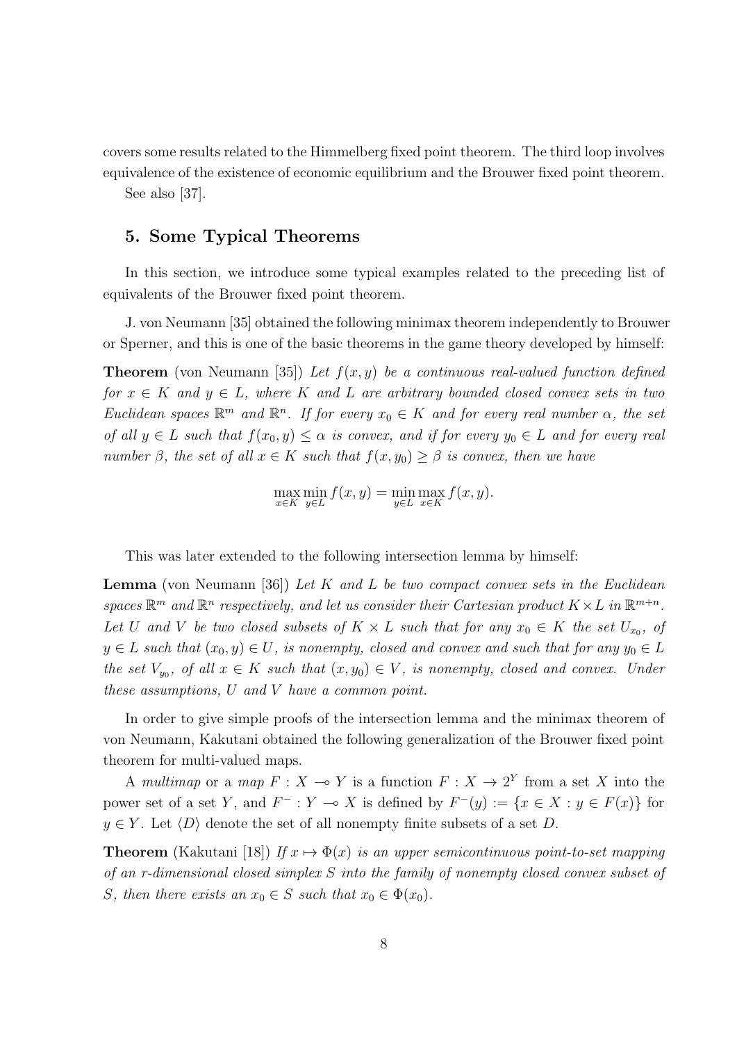covers some results related to the Himmelberg fixed point theorem. The third loop involves equivalence of the existence of economic equilibrium and the Brouwer fixed point theorem.

See also [37].

## **5. Some Typical Theorems**

In this section, we introduce some typical examples related to the preceding list of equivalents of the Brouwer fixed point theorem.

J. von Neumann [35] obtained the following minimax theorem independently to Brouwer or Sperner, and this is one of the basic theorems in the game theory developed by himself:

**Theorem** (von Neumann [35]) *Let f*(*x, y*) *be a continuous real-valued function defined for*  $x \in K$  *and*  $y \in L$ *, where*  $K$  *and*  $L$  *are arbitrary bounded closed convex sets in two Euclidean spaces*  $\mathbb{R}^m$  *and*  $\mathbb{R}^n$ *. If for every*  $x_0 \in K$  *and for every real number*  $\alpha$ *, the set of all*  $y \in L$  *such that*  $f(x_0, y) \leq \alpha$  *is convex, and if for every*  $y_0 \in L$  *and for every real number*  $\beta$ *, the set of all*  $x \in K$  *such that*  $f(x, y_0) \geq \beta$  *is convex, then we have* 

$$
\max_{x \in K} \min_{y \in L} f(x, y) = \min_{y \in L} \max_{x \in K} f(x, y).
$$

This was later extended to the following intersection lemma by himself:

**Lemma** (von Neumann [36]) *Let K and L be two compact convex sets in the Euclidean* spaces  $\mathbb{R}^m$  and  $\mathbb{R}^n$  respectively, and let us consider their Cartesian product  $K \times L$  in  $\mathbb{R}^{m+n}$ . *Let U* and *V be two closed subsets of*  $K \times L$  *such that for any*  $x_0 \in K$  *the set*  $U_{x_0}$ , *of*  $y \in L$  *such that*  $(x_0, y) \in U$ *, is nonempty, closed and convex and such that for any*  $y_0 \in L$ *the set*  $V_{y0}$ , of all  $x \in K$  *such that*  $(x, y_0) \in V$ , *is nonempty, closed and convex. Under these assumptions, U and V have a common point.*

In order to give simple proofs of the intersection lemma and the minimax theorem of von Neumann, Kakutani obtained the following generalization of the Brouwer fixed point theorem for multi-valued maps.

A *multimap* or a *map*  $F: X \to Y$  is a function  $F: X \to 2^Y$  from a set X into the power set of a set *Y*, and  $F^-: Y \to X$  is defined by  $F^-(y) := \{x \in X : y \in F(x)\}$  for  $y \in Y$ . Let  $\langle D \rangle$  denote the set of all nonempty finite subsets of a set *D*.

**Theorem** (Kakutani [18]) *If*  $x \mapsto \Phi(x)$  *is an upper semicontinuous point-to-set mapping of an r-dimensional closed simplex S into the family of nonempty closed convex subset of S, then there exists an*  $x_0 \in S$  *such that*  $x_0 \in \Phi(x_0)$ *.*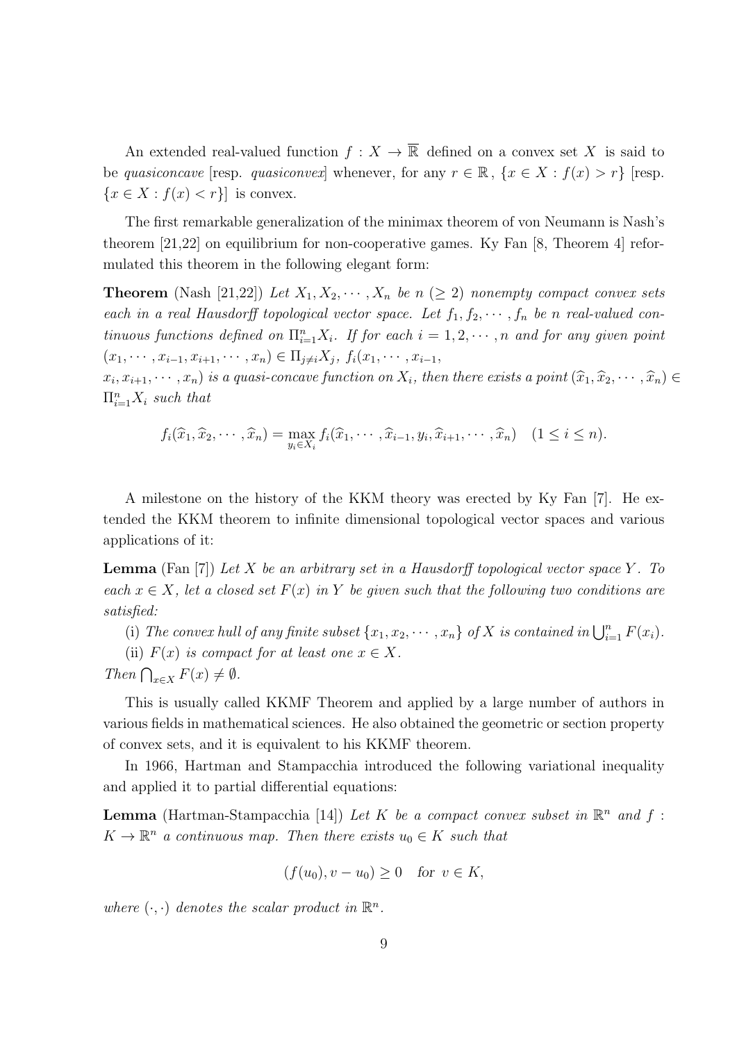An extended real-valued function  $f: X \to \overline{\mathbb{R}}$  defined on a convex set X is said to be *quasiconcave* [resp. *quasiconvex*] whenever, for any  $r \in \mathbb{R}$ ,  $\{x \in X : f(x) > r\}$  [resp.  ${x \in X : f(x) < r}$  is convex.

The first remarkable generalization of the minimax theorem of von Neumann is Nash's theorem [21,22] on equilibrium for non-cooperative games. Ky Fan [8, Theorem 4] reformulated this theorem in the following elegant form:

**Theorem** (Nash [21,22]) Let  $X_1, X_2, \cdots, X_n$  be  $n \geq 2$ ) nonempty compact convex sets *each in a real Hausdorff topological vector space. Let*  $f_1, f_2, \cdots, f_n$  *be n real-valued continuous functions defined on*  $\prod_{i=1}^{n} X_i$ *. If for each*  $i = 1, 2, \dots, n$  *and for any given point*  $(x_1, \dots, x_{i-1}, x_{i+1}, \dots, x_n) \in \Pi_{j \neq i} X_j, f_i(x_1, \dots, x_{i-1},$ 

 $(x_i, x_{i+1}, \dots, x_n)$  is a quasi-concave function on  $X_i$ , then there exists a point  $(\widehat{x}_1, \widehat{x}_2, \dots, \widehat{x}_n) \in$  $\Pi_{i=1}^n X_i$  *such that* 

$$
f_i(\widehat{x}_1, \widehat{x}_2, \cdots, \widehat{x}_n) = \max_{y_i \in X_i} f_i(\widehat{x}_1, \cdots, \widehat{x}_{i-1}, y_i, \widehat{x}_{i+1}, \cdots, \widehat{x}_n) \quad (1 \le i \le n).
$$

A milestone on the history of the KKM theory was erected by Ky Fan [7]. He extended the KKM theorem to infinite dimensional topological vector spaces and various applications of it:

**Lemma** (Fan [7]) *Let X be an arbitrary set in a Hausdorff topological vector space Y . To each*  $x \in X$ , let a closed set  $F(x)$  in Y be given such that the following two conditions are *satisfied:*

(i) The convex hull of any finite subset  $\{x_1, x_2, \cdots, x_n\}$  of  $X$  is contained in  $\bigcup_{i=1}^n F(x_i)$ .

(ii)  $F(x)$  *is compact for at least one*  $x \in X$ *.* 

*Then*  $\bigcap_{x \in X} F(x) \neq \emptyset$ *.* 

This is usually called KKMF Theorem and applied by a large number of authors in various fields in mathematical sciences. He also obtained the geometric or section property of convex sets, and it is equivalent to his KKMF theorem.

In 1966, Hartman and Stampacchia introduced the following variational inequality and applied it to partial differential equations:

**Lemma** (Hartman-Stampacchia [14]) Let K be a compact convex subset in  $\mathbb{R}^n$  and f:  $K \to \mathbb{R}^n$  *a continuous map. Then there exists*  $u_0 \in K$  *such that* 

 $(f(u_0), v - u_0) \geq 0$  *for*  $v \in K$ ,

where  $(\cdot, \cdot)$  *denotes the scalar product in*  $\mathbb{R}^n$ *.*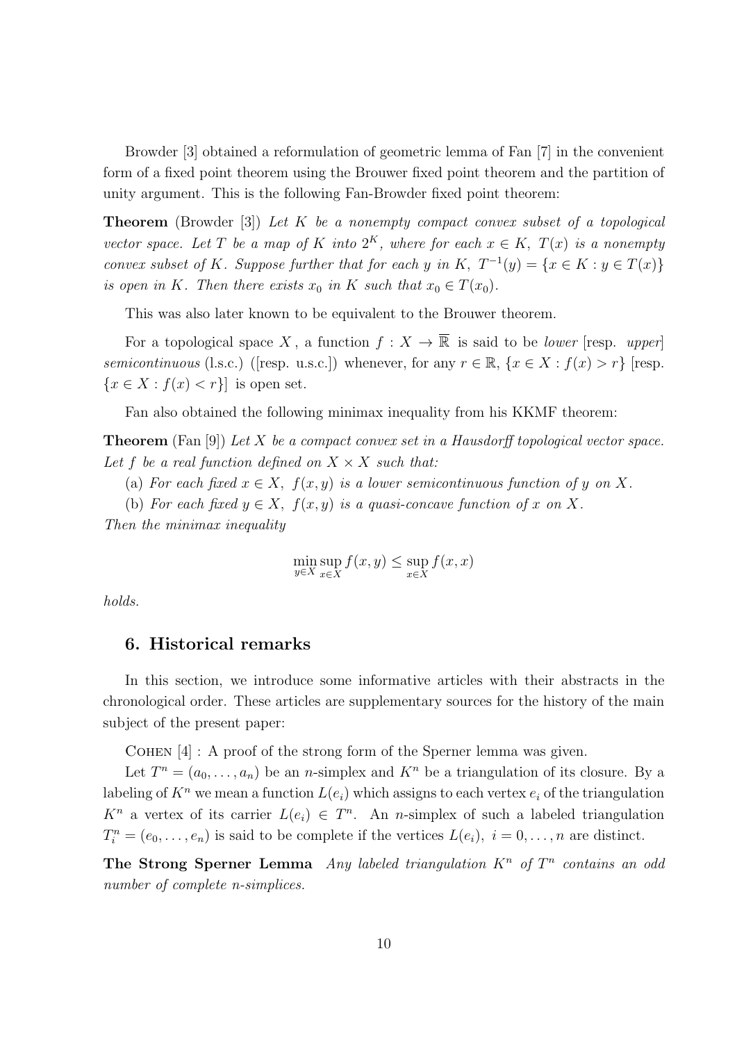Browder [3] obtained a reformulation of geometric lemma of Fan [7] in the convenient form of a fixed point theorem using the Brouwer fixed point theorem and the partition of unity argument. This is the following Fan-Browder fixed point theorem:

**Theorem** (Browder [3]) *Let K be a nonempty compact convex subset of a topological vector space.* Let *T* be a map of *K* into  $2^K$ , where for each  $x \in K$ ,  $T(x)$  is a nonempty *convex subset of K. Suppose further that for each y in*  $K$ *,*  $T^{-1}(y) = \{x \in K : y \in T(x)\}$ *is open in K. Then there exists*  $x_0$  *in K such that*  $x_0 \in T(x_0)$ *.* 

This was also later known to be equivalent to the Brouwer theorem.

For a topological space X, a function  $f: X \to \overline{\mathbb{R}}$  is said to be *lower* [resp. *upper*] *semicontinuous* (l.s.c.) ([resp. u.s.c.]) whenever, for any  $r \in \mathbb{R}$ ,  $\{x \in X : f(x) > r\}$  [resp.  ${x \in X : f(x) < r}$  is open set.

Fan also obtained the following minimax inequality from his KKMF theorem:

**Theorem** (Fan [9]) *Let X be a compact convex set in a Hausdorff topological vector space.* Let f be a real function defined on  $X \times X$  such that:

(a) For each fixed  $x \in X$ ,  $f(x, y)$  is a lower semicontinuous function of y on X.

(b) For each fixed  $y \in X$ ,  $f(x, y)$  is a quasi-concave function of x on X.

*Then the minimax inequality*

$$
\min_{y \in X} \sup_{x \in X} f(x, y) \le \sup_{x \in X} f(x, x)
$$

*holds.*

### **6. Historical remarks**

In this section, we introduce some informative articles with their abstracts in the chronological order. These articles are supplementary sources for the history of the main subject of the present paper:

Cohen [4] : A proof of the strong form of the Sperner lemma was given.

Let  $T^n = (a_0, \ldots, a_n)$  be an *n*-simplex and  $K^n$  be a triangulation of its closure. By a labeling of  $K^n$  we mean a function  $L(e_i)$  which assigns to each vertex  $e_i$  of the triangulation  $K^n$  a vertex of its carrier  $L(e_i) \in T^n$ . An *n*-simplex of such a labeled triangulation  $T_i^n = (e_0, \ldots, e_n)$  is said to be complete if the vertices  $L(e_i)$ ,  $i = 0, \ldots, n$  are distinct.

**The Strong Sperner Lemma** *Any labeled triangulation K<sup>n</sup> of T n contains an odd number of complete n-simplices.*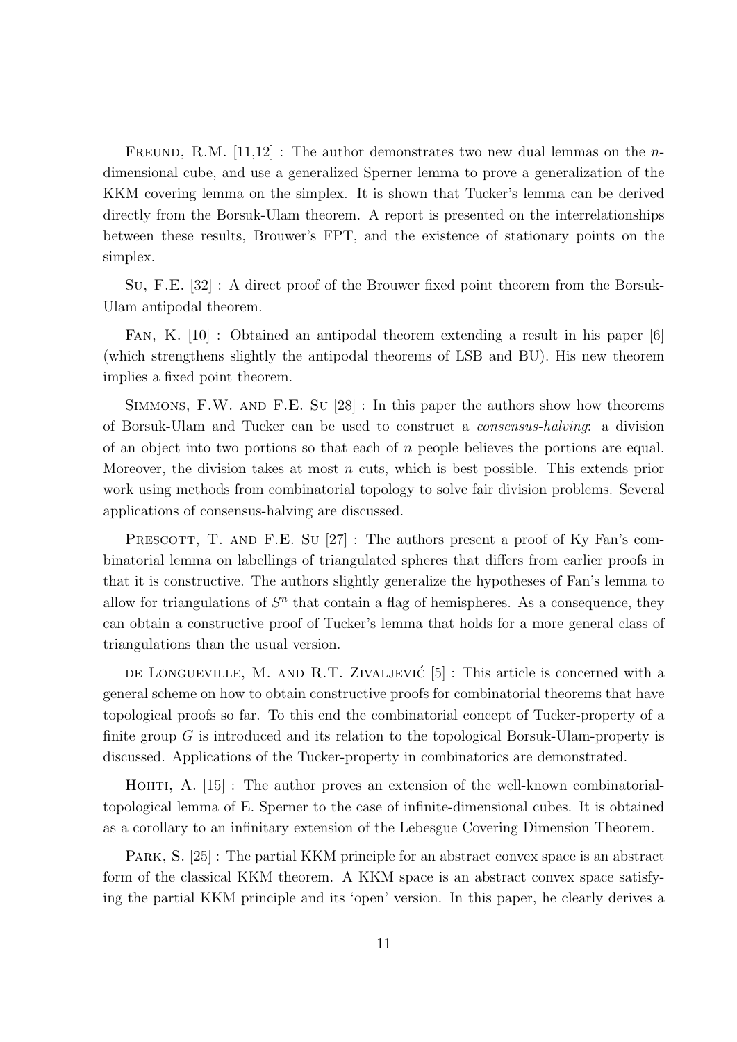FREUND, R.M.  $[11,12]$ : The author demonstrates two new dual lemmas on the *n*dimensional cube, and use a generalized Sperner lemma to prove a generalization of the KKM covering lemma on the simplex. It is shown that Tucker's lemma can be derived directly from the Borsuk-Ulam theorem. A report is presented on the interrelationships between these results, Brouwer's FPT, and the existence of stationary points on the simplex.

Su, F.E. [32] : A direct proof of the Brouwer fixed point theorem from the Borsuk-Ulam antipodal theorem.

Fan, K. [10] : Obtained an antipodal theorem extending a result in his paper [6] (which strengthens slightly the antipodal theorems of LSB and BU). His new theorem implies a fixed point theorem.

Simmons, F.W. and F.E. Su [28] : In this paper the authors show how theorems of Borsuk-Ulam and Tucker can be used to construct a *consensus-halving*: a division of an object into two portions so that each of *n* people believes the portions are equal. Moreover, the division takes at most *n* cuts, which is best possible. This extends prior work using methods from combinatorial topology to solve fair division problems. Several applications of consensus-halving are discussed.

PRESCOTT, T. AND F.E. Su  $[27]$ : The authors present a proof of Ky Fan's combinatorial lemma on labellings of triangulated spheres that differs from earlier proofs in that it is constructive. The authors slightly generalize the hypotheses of Fan's lemma to allow for triangulations of  $S<sup>n</sup>$  that contain a flag of hemispheres. As a consequence, they can obtain a constructive proof of Tucker's lemma that holds for a more general class of triangulations than the usual version.

DE LONGUEVILLE, M. AND R.T. ZIVALJEVIC<sup> $[5]$ </sup>: This article is concerned with a general scheme on how to obtain constructive proofs for combinatorial theorems that have topological proofs so far. To this end the combinatorial concept of Tucker-property of a finite group *G* is introduced and its relation to the topological Borsuk-Ulam-property is discussed. Applications of the Tucker-property in combinatorics are demonstrated.

HOHTI, A. [15] : The author proves an extension of the well-known combinatorialtopological lemma of E. Sperner to the case of infinite-dimensional cubes. It is obtained as a corollary to an infinitary extension of the Lebesgue Covering Dimension Theorem.

Park, S. [25] : The partial KKM principle for an abstract convex space is an abstract form of the classical KKM theorem. A KKM space is an abstract convex space satisfying the partial KKM principle and its 'open' version. In this paper, he clearly derives a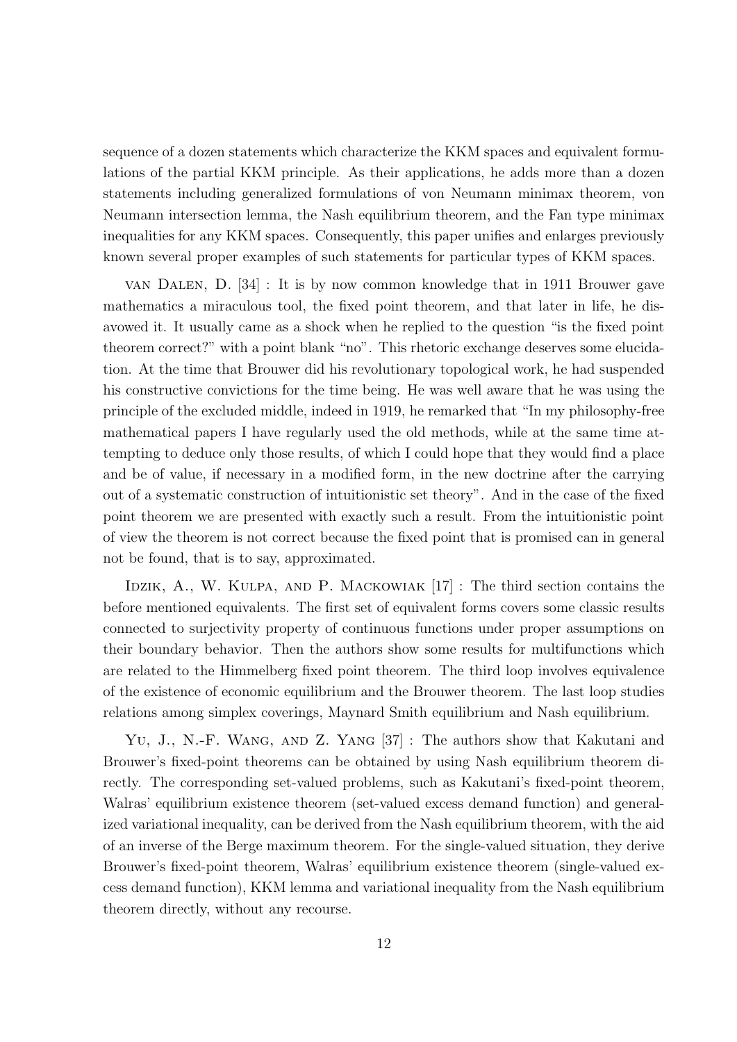sequence of a dozen statements which characterize the KKM spaces and equivalent formulations of the partial KKM principle. As their applications, he adds more than a dozen statements including generalized formulations of von Neumann minimax theorem, von Neumann intersection lemma, the Nash equilibrium theorem, and the Fan type minimax inequalities for any KKM spaces. Consequently, this paper unifies and enlarges previously known several proper examples of such statements for particular types of KKM spaces.

van Dalen, D. [34] : It is by now common knowledge that in 1911 Brouwer gave mathematics a miraculous tool, the fixed point theorem, and that later in life, he disavowed it. It usually came as a shock when he replied to the question "is the fixed point theorem correct?" with a point blank "no". This rhetoric exchange deserves some elucidation. At the time that Brouwer did his revolutionary topological work, he had suspended his constructive convictions for the time being. He was well aware that he was using the principle of the excluded middle, indeed in 1919, he remarked that "In my philosophy-free mathematical papers I have regularly used the old methods, while at the same time attempting to deduce only those results, of which I could hope that they would find a place and be of value, if necessary in a modified form, in the new doctrine after the carrying out of a systematic construction of intuitionistic set theory". And in the case of the fixed point theorem we are presented with exactly such a result. From the intuitionistic point of view the theorem is not correct because the fixed point that is promised can in general not be found, that is to say, approximated.

IDZIK, A., W. KULPA, AND P. MACKOWIAK  $[17]$ : The third section contains the before mentioned equivalents. The first set of equivalent forms covers some classic results connected to surjectivity property of continuous functions under proper assumptions on their boundary behavior. Then the authors show some results for multifunctions which are related to the Himmelberg fixed point theorem. The third loop involves equivalence of the existence of economic equilibrium and the Brouwer theorem. The last loop studies relations among simplex coverings, Maynard Smith equilibrium and Nash equilibrium.

Yu, J., N.-F. Wang, and Z. Yang [37] : The authors show that Kakutani and Brouwer's fixed-point theorems can be obtained by using Nash equilibrium theorem directly. The corresponding set-valued problems, such as Kakutani's fixed-point theorem, Walras' equilibrium existence theorem (set-valued excess demand function) and generalized variational inequality, can be derived from the Nash equilibrium theorem, with the aid of an inverse of the Berge maximum theorem. For the single-valued situation, they derive Brouwer's fixed-point theorem, Walras' equilibrium existence theorem (single-valued excess demand function), KKM lemma and variational inequality from the Nash equilibrium theorem directly, without any recourse.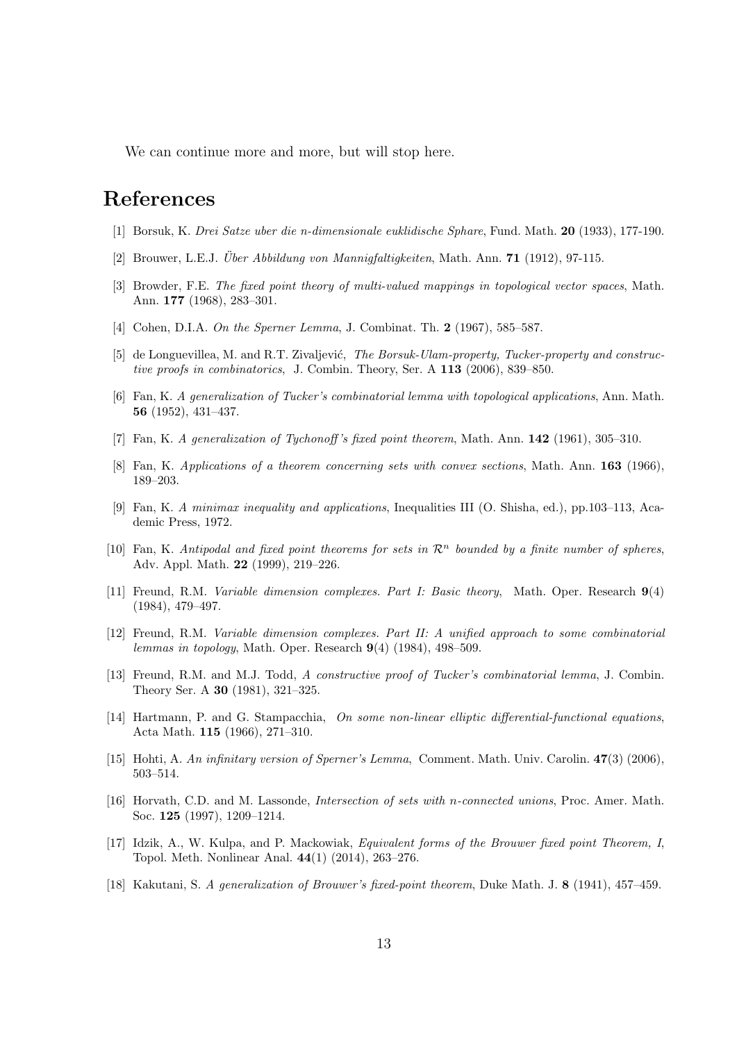We can continue more and more, but will stop here.

## **References**

- [1] Borsuk, K. *Drei Satze uber die n-dimensionale euklidische Sphare*, Fund. Math. **20** (1933), 177-190.
- [2] Brouwer, L.E.J. *Über Abbildung von Mannigfaltigkeiten*, Math. Ann. **71** (1912), 97-115.
- [3] Browder, F.E. *The fixed point theory of multi-valued mappings in topological vector spaces*, Math. Ann. **177** (1968), 283–301.
- [4] Cohen, D.I.A. *On the Sperner Lemma*, J. Combinat. Th. **2** (1967), 585–587.
- [5] de Longuevillea, M. and R.T. Zivaljević, The Borsuk-Ulam-property, Tucker-property and construc*tive proofs in combinatorics*, J. Combin. Theory, Ser. A **113** (2006), 839–850.
- [6] Fan, K. *A generalization of Tucker's combinatorial lemma with topological applications*, Ann. Math. **56** (1952), 431–437.
- [7] Fan, K. *A generalization of Tychonoff 's fixed point theorem*, Math. Ann. **142** (1961), 305–310.
- [8] Fan, K. *Applications of a theorem concerning sets with convex sections*, Math. Ann. **163** (1966), 189–203.
- [9] Fan, K. *A minimax inequality and applications*, Inequalities III (O. Shisha, ed.), pp.103–113, Academic Press, 1972.
- [10] Fan, K. *Antipodal and fixed point theorems for sets in R<sup>n</sup> bounded by a finite number of spheres*, Adv. Appl. Math. **22** (1999), 219–226.
- [11] Freund, R.M. *Variable dimension complexes. Part I: Basic theory*, Math. Oper. Research **9**(4) (1984), 479–497.
- [12] Freund, R.M. *Variable dimension complexes. Part II: A unified approach to some combinatorial lemmas in topology*, Math. Oper. Research **9**(4) (1984), 498–509.
- [13] Freund, R.M. and M.J. Todd, *A constructive proof of Tucker's combinatorial lemma*, J. Combin. Theory Ser. A **30** (1981), 321–325.
- [14] Hartmann, P. and G. Stampacchia, *On some non-linear elliptic differential-functional equations*, Acta Math. **115** (1966), 271–310.
- [15] Hohti, A. *An infinitary version of Sperner's Lemma*, Comment. Math. Univ. Carolin. **47**(3) (2006), 503–514.
- [16] Horvath, C.D. and M. Lassonde, *Intersection of sets with n-connected unions*, Proc. Amer. Math. Soc. **125** (1997), 1209–1214.
- [17] Idzik, A., W. Kulpa, and P. Mackowiak, *Equivalent forms of the Brouwer fixed point Theorem, I*, Topol. Meth. Nonlinear Anal. **44**(1) (2014), 263–276.
- [18] Kakutani, S. *A generalization of Brouwer's fixed-point theorem*, Duke Math. J. **8** (1941), 457–459.